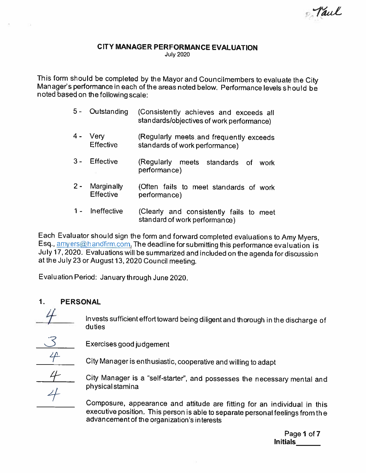Faul

# CITY MANAGER PERFORMANCE EVALUATION

July 2020

This form should be completed by the Mayor and Councilmembers to evaluate the City<br>Manager's performance in each of the areas noted below. Performance levels should be noted based on the following scale:

| $5 -$ | Outstanding                    | (Consistently achieves and exceeds all<br>standards/objectives of work performance) |
|-------|--------------------------------|-------------------------------------------------------------------------------------|
| $4 -$ | Very<br>Effective              | (Regularly meets and frequently exceeds<br>standards of work performance)           |
|       | <b>Effective</b>               | (Regularly meets standards of<br>work<br>performance)                               |
| $2 -$ | Marginally<br><b>Effective</b> | (Often fails to meet standards of work<br>performance)                              |

<sup>1</sup> - Ineffective (Clearly and consistently fails to meet standard of work performance)

Each Evaluator should sign the form and forward completed evaluations to Amy Myers, Esq., amyers@handfirm.com. The deadline for submitting this performance evaluation is July 17,2020. Evaluationswill be summarized and included onthe agenda fordiscussion at the July23 or August 13,2020 Council meeting.

Evaluation Period: January through June 2020.

### 1. PERSONAL

Invests sufficient effort toward being diligent and thorough in the discharge of duties

Exercises good judgement

City Manager is enthusiastic, cooperative and willing to adapt

City Manager is a "self-starter", and possesses the necessary mental and physical stamina

Composure, appearance and attitude are fitting for an individual in this executive position. This person is able to separate personal feelings from the advancement of the organization's interests

> Page 1 of 7 Initials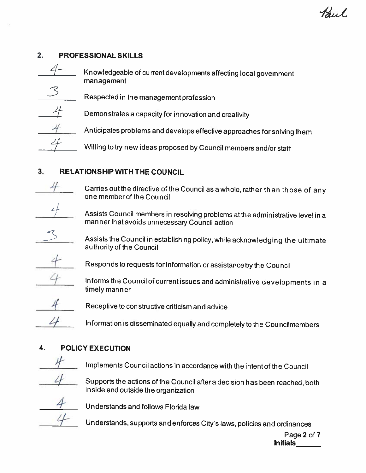## 2. PROFESSIONAL SKILLS

| Knowledgeable of current developments affecting local govemment<br>management |
|-------------------------------------------------------------------------------|
| Respected in the management profession                                        |
| Demonstrates a capacity for innovation and creativity                         |
| Anticipates problems and develops effective approaches for solving them       |
| Willing to try new ideas proposed by Council members and/or staff             |

# 3. RELATIONSHIP WITH THE COUNCIL

Carries outthe directive of the Council as <sup>a</sup> whole, rather than those of any one memberof the Council

Assists Council members in resolving problems atthe administrative level in <sup>a</sup> man ner that avoids unnecessary Council action

Assists the Council in establishing policy, while acknowledging the ultimate authority of the Council

Responds to requests for information or assistance by the Council

Informs the Council of current issues and administrative developments in a timely manner



Receptive to constructive criticism and advice

Information is disseminated equally and completely to the Councilmembers

## 4. POLICY EXECUTION



Implements Council actions in accordance with the intentof the Council



Supports the actions of the Council after a decision has been reached, both inside and outside the organization

Understands and follows Florida law

Understands, supports and enforces City's laws, policies and ordinances

Page 2 of7 Initials\_\_\_\_\_\_\_

Paul.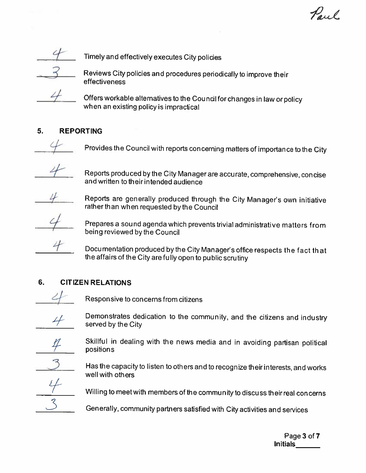

Timely and effectively executes City polides

Reviews City policies and procedures periodically to improve their effectiveness



Offers workable alternatives to the Cou ncil for changes in law or policy when an existing policy is impractical

## 5. REPORTING



Provides the Council with reports concerning matters of importance to the City



Reports produ ced by the City Manager are accurate, comprehensive, con cise andwritten to theirintended audience



Reports are generally produced through the City Manager's own initiative rather than when requested by the Council



Prepares <sup>a</sup> sound agenda which prevents trivial administrative matters from being reviewed by the Council

Documentation produced by the City Manager's office respects the fact that the affairs of the City are fully open to public scrutiny

# 6. CITIZEN RELATIONS



Responsive to concerns from citizens



Demonstrates dedication to the community, and the citizens and industry served by the City

Skillful in dealing with the news media and in avoiding partisan political positions

Has the capacity to listen to others and to recognize their interests, and works well with others



Willing to meet with members of the community to discuss their real concerns

Generally, community partners satisfied with City activities and services

Page 3 of 7 Initials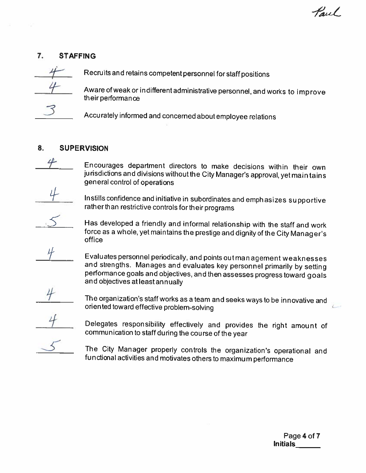Paul

### 7. STAFFING



Recruits and retains competent personnel for staff positions

Aware of weak or indifferent administrative personnel, and works to improve their performance

Accurately informed and concerned about employee relations

### 8. SUPERVISION

Encourages department directors to make decisions within their own jurisdictions and divisions without the City Manager's approval, yet maintains general control of operations

Instills confidence and initiative in subordinates and emphasizes supportive rather than restrictive controls for their programs

Has developed <sup>a</sup> friendly and informal relationship with the staff and work force as a whole, yet maintains the prestige and dignity of the City Manager's office

Evaluates personnel periodically, and points out man agement weaknesses and strengths. Manages and evaluates key personnel primarily by setting performance goals and objectives, and then assesses progress toward goals and objectives atleastannually

The organization's staff works as <sup>a</sup> team and seeks ways to be in novative and oriented toward effective problem-solving

Delegates responsibility effectively and provides the right amount of communication to staff during the course of the year

The City Manager properly controls the organization's operational and functional activities and motivates others to maximum performance

> Page 4 of 7 Initials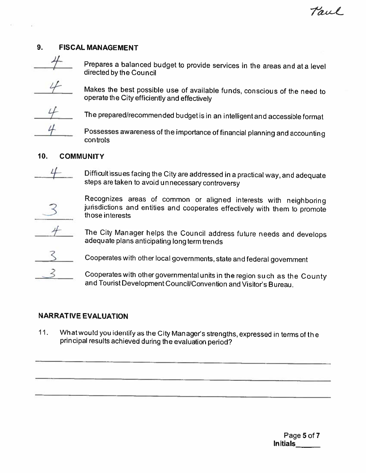### 9. FISCAL MANAGEMENT



Prepares a balanced budget to provide services in the areas and at a level directed by the Council

Makes the best possible use of available funds, conscious of the need to operate the City efficiently and effectively

The prepared/recommended budget is in an intelligentand accessible format

Possesses awareness of the importance of financial <sup>p</sup>lanning and accounting controls

#### 10. COMMUNITY

Difficult issues facing the City are addressed in <sup>a</sup> practical way, and adequate steps are taken to avoid unnecessary controversy



Recognizes areas of common or aligned interests with neighboring jurisdictions and entities and cooperates effectively with them to promote those interests

The City Manager helps the Council address future needs and develops adequate plans anticipating long term trends



<sup>3</sup> Cooperates with other local governments, state and federal government

Cooperates with other governmental units in the region such as the County and Tourist Development Council/Convention and Visitor's Bureau.

### NARRATIVE EVALUATION

11. What would you identify as the City Manager's strengths, expressed in terms of the principal results achieved during the evaluation period?

> Page 5 of 7 Initials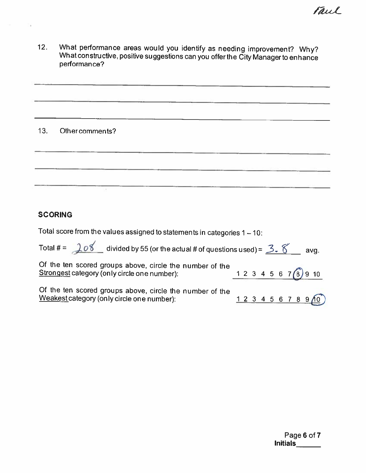Vaul

12. What performance areas would you identify as needing improvement? Why?<br>What constructive, positive suggestions can you offer the City Manager to enhance performance?

#### 13. Other comments?

#### **SCORING**

Total score from the values assigned to statements in categories <sup>1</sup> — 10:

Total # =  $208$  divided by 55 (or the actual # of questions used) =  $3.8$  avg. Of the ten scored groups above, circle the number of the Strongest category (only circle one number):  $1 2 3 4 5 6 7(8) 9 10$ Of the ten scored groups above, circle the number of the Weakest category (only circle one number): 1 2 3 4 5 6 7 8 9 10

> Page 6 of 7 Initials\_\_\_\_\_\_\_